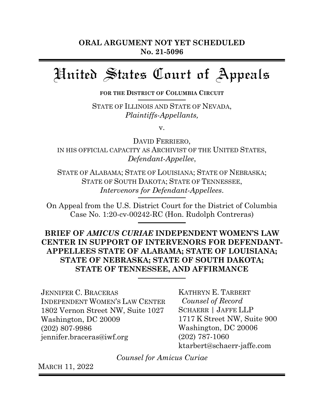# United States Court of Appeals

 **FOR THE DISTRICT OF COLUMBIA CIRCUIT**

STATE OF ILLINOIS AND STATE OF NEVADA, *Plaintiffs-Appellants,*

v.

DAVID FERRIERO, IN HIS OFFICIAL CAPACITY AS ARCHIVIST OF THE UNITED STATES, *Defendant-Appellee*,

STATE OF ALABAMA; STATE OF LOUISIANA; STATE OF NEBRASKA; STATE OF SOUTH DAKOTA; STATE OF TENNESSEE, *Intervenors for Defendant-Appellees*.

On Appeal from the U.S. District Court for the District of Columbia Case No. 1:20-cv-00242-RC (Hon. Rudolph Contreras)

**BRIEF OF** *AMICUS CURIAE* **INDEPENDENT WOMEN'S LAW CENTER IN SUPPORT OF INTERVENORS FOR DEFENDANT-APPELLEES STATE OF ALABAMA; STATE OF LOUISIANA; STATE OF NEBRASKA; STATE OF SOUTH DAKOTA; STATE OF TENNESSEE, AND AFFIRMANCE** 

JENNIFER C. BRACERAS INDEPENDENT WOMEN'S LAW CENTER 1802 Vernon Street NW, Suite 1027 Washington, DC 20009 (202) 807-9986 jennifer.braceras@iwf.org

KATHRYN E. TARBERT *Counsel of Record* SCHAERR | JAFFE LLP 1717 K Street NW, Suite 900 Washington, DC 20006 (202) 787-1060 ktarbert@schaerr-jaffe.com

*Counsel for Amicus Curiae*

MARCH 11, 2022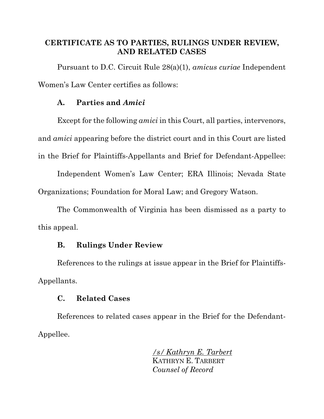## <span id="page-1-0"></span>**CERTIFICATE AS TO PARTIES, RULINGS UNDER REVIEW, AND RELATED CASES**

Pursuant to D.C. Circuit Rule 28(a)(1), *amicus curiae* Independent Women's Law Center certifies as follows:

### **A. Parties and** *Amici*

Except for the following *amici* in this Court, all parties, intervenors, and *amici* appearing before the district court and in this Court are listed in the Brief for Plaintiffs-Appellants and Brief for Defendant-Appellee:

Independent Women's Law Center; ERA Illinois; Nevada State Organizations; Foundation for Moral Law; and Gregory Watson.

The Commonwealth of Virginia has been dismissed as a party to this appeal.

## **B. Rulings Under Review**

References to the rulings at issue appear in the Brief for Plaintiffs-Appellants.

### **C. Related Cases**

References to related cases appear in the Brief for the Defendant-Appellee.

> */s/ Kathryn E. Tarbert* KATHRYN E. TARBERT *Counsel of Record*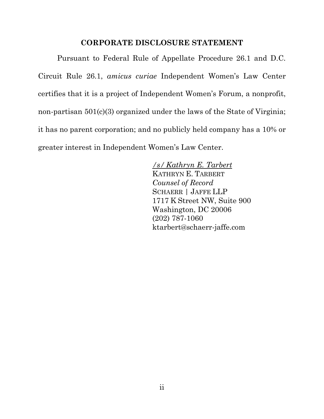#### **CORPORATE DISCLOSURE STATEMENT**

<span id="page-2-0"></span>Pursuant to Federal Rule of Appellate Procedure 26.1 and D.C. Circuit Rule 26.1, *amicus curiae* Independent Women's Law Center certifies that it is a project of Independent Women's Forum, a nonprofit, non-partisan 501(c)(3) organized under the laws of the State of Virginia; it has no parent corporation; and no publicly held company has a 10% or greater interest in Independent Women's Law Center.

> */s/ Kathryn E. Tarbert* KATHRYN E. TARBERT *Counsel of Record* SCHAERR | JAFFE LLP 1717 K Street NW, Suite 900 Washington, DC 20006 (202) 787-1060 ktarbert@schaerr-jaffe.com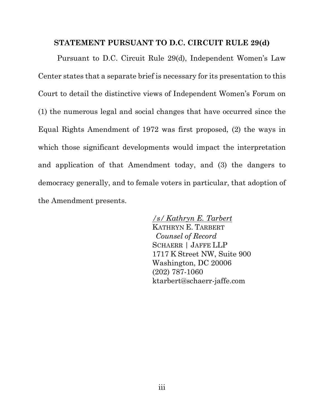#### <span id="page-3-0"></span>**STATEMENT PURSUANT TO D.C. CIRCUIT RULE 29(d)**

Pursuant to D.C. Circuit Rule 29(d), Independent Women's Law Center states that a separate brief is necessary for its presentation to this Court to detail the distinctive views of Independent Women's Forum on (1) the numerous legal and social changes that have occurred since the Equal Rights Amendment of 1972 was first proposed, (2) the ways in which those significant developments would impact the interpretation and application of that Amendment today, and (3) the dangers to democracy generally, and to female voters in particular, that adoption of the Amendment presents.

> */s/ Kathryn E. Tarbert* KATHRYN E. TARBERT *Counsel of Record* SCHAERR | JAFFE LLP 1717 K Street NW, Suite 900 Washington, DC 20006 (202) 787-1060 ktarbert@schaerr-jaffe.com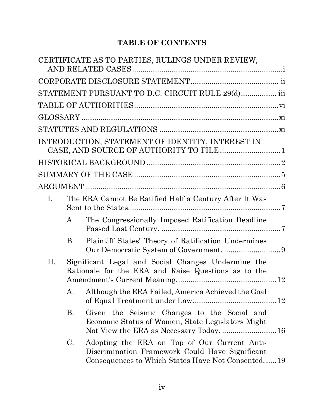## **TABLE OF CONTENTS**

|    |           | CERTIFICATE AS TO PARTIES, RULINGS UNDER REVIEW,                                                                                                     |  |
|----|-----------|------------------------------------------------------------------------------------------------------------------------------------------------------|--|
|    |           |                                                                                                                                                      |  |
|    |           | STATEMENT PURSUANT TO D.C. CIRCUIT RULE 29(d) iii                                                                                                    |  |
|    |           |                                                                                                                                                      |  |
|    |           |                                                                                                                                                      |  |
|    |           |                                                                                                                                                      |  |
|    |           | INTRODUCTION, STATEMENT OF IDENTITY, INTEREST IN                                                                                                     |  |
|    |           |                                                                                                                                                      |  |
|    |           |                                                                                                                                                      |  |
|    |           |                                                                                                                                                      |  |
| I. |           | The ERA Cannot Be Ratified Half a Century After It Was                                                                                               |  |
|    | A.        | The Congressionally Imposed Ratification Deadline                                                                                                    |  |
|    | <b>B.</b> | Plaintiff States' Theory of Ratification Undermines                                                                                                  |  |
| П. |           | Significant Legal and Social Changes Undermine the<br>Rationale for the ERA and Raise Questions as to the                                            |  |
|    |           | A. Although the ERA Failed, America Achieved the Goal                                                                                                |  |
|    | <b>B.</b> | Given the Seismic Changes to the Social and<br>Economic Status of Women, State Legislators Might<br>Not View the ERA as Necessary Today.  16         |  |
|    | C.        | Adopting the ERA on Top of Our Current Anti-<br>Discrimination Framework Could Have Significant<br>Consequences to Which States Have Not Consented19 |  |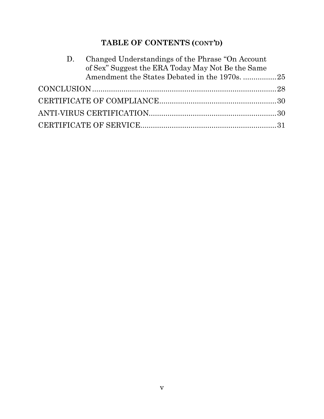# **TABLE OF CONTENTS (CONT***'***D)**

| D. | Changed Understandings of the Phrase "On Account" |  |
|----|---------------------------------------------------|--|
|    | of Sex" Suggest the ERA Today May Not Be the Same |  |
|    |                                                   |  |
|    |                                                   |  |
|    |                                                   |  |
|    |                                                   |  |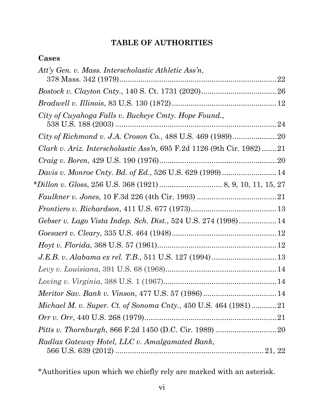## **TABLE OF AUTHORITIES**

## <span id="page-6-0"></span>**Cases**

| Att'y Gen. v. Mass. Interscholastic Athletic Ass'n,                    |  |
|------------------------------------------------------------------------|--|
|                                                                        |  |
|                                                                        |  |
|                                                                        |  |
| City of Cuyahoga Falls v. Buckeye Cmty. Hope Found.,                   |  |
|                                                                        |  |
| Clark v. Ariz. Interscholastic Ass'n, 695 F.2d 1126 (9th Cir. 1982) 21 |  |
| $\emph{Craig v. Boren, 429 U.S. 190 (1976)20}$                         |  |
| Davis v. Monroe Cnty. Bd. of Ed., 526 U.S. 629 (1999)  14              |  |
|                                                                        |  |
|                                                                        |  |
|                                                                        |  |
| Gebser v. Lago Vista Indep. Sch. Dist., 524 U.S. 274 (1998) 14         |  |
| $\emph{Goesaert v. Clearly, 335 U.S. 464 (1948)12}$                    |  |
|                                                                        |  |
| J.E.B. v. Alabama ex rel. T.B., 511 U.S. 127 (1994) 13                 |  |
|                                                                        |  |
|                                                                        |  |
|                                                                        |  |
| Michael M. v. Super. Ct. of Sonoma Cnty., 450 U.S. 464 (1981)21        |  |
|                                                                        |  |
|                                                                        |  |
| Radlax Gateway Hotel, LLC v. Amalgamated Bank,                         |  |

\*Authorities upon which we chiefly rely are marked with an asterisk.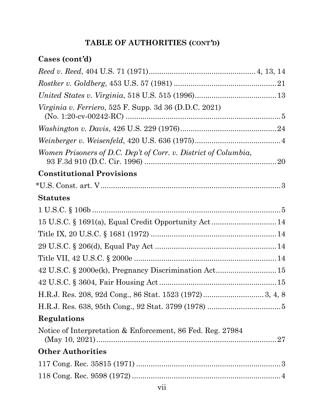# **Cases (cont***'***d)**

| <i>Virginia v. Ferriero,</i> 525 F. Supp. 3d 36 (D.D.C. 2021)   |  |
|-----------------------------------------------------------------|--|
|                                                                 |  |
|                                                                 |  |
| Women Prisoners of D.C. Dep't of Corr. v. District of Columbia, |  |
| <b>Constitutional Provisions</b>                                |  |
|                                                                 |  |
| <b>Statutes</b>                                                 |  |
|                                                                 |  |
| 15 U.S.C. § 1691(a), Equal Credit Opportunity Act 14            |  |
|                                                                 |  |
|                                                                 |  |
|                                                                 |  |
| 42 U.S.C. § 2000e(k), Pregnancy Discrimination Act 15           |  |
|                                                                 |  |
|                                                                 |  |
|                                                                 |  |
| Regulations                                                     |  |
| Notice of Interpretation & Enforcement, 86 Fed. Reg. 27984      |  |
| <b>Other Authorities</b>                                        |  |
|                                                                 |  |
|                                                                 |  |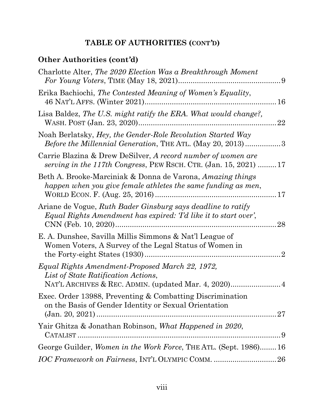# **Other Authorities (cont***'***d)**

| Charlotte Alter, The 2020 Election Was a Breakthrough Moment                                                                                                         |
|----------------------------------------------------------------------------------------------------------------------------------------------------------------------|
| Erika Bachiochi, The Contested Meaning of Women's Equality,<br>46 NAT'L AFFS. (Winter 2021)<br>16                                                                    |
| Lisa Baldez, The U.S. might ratify the ERA. What would change?,<br>22                                                                                                |
| Noah Berlatsky, <i>Hey, the Gender-Role Revolution Started Way</i><br><i>Before the Millennial Generation, THE ATL. (May 20, 2013) 3</i>                             |
| Carrie Blazina & Drew DeSilver, A record number of women are<br>serving in the 117th Congress, PEW RSCH. CTR. $(Jan. 15, 2021)$ 17                                   |
| Beth A. Brooke-Marciniak & Donna de Varona, Amazing things<br>happen when you give female athletes the same funding as men,                                          |
| Ariane de Vogue, Ruth Bader Ginsburg says deadline to ratify<br>Equal Rights Amendment has expired: Td like it to start over',<br>28                                 |
| E. A. Dunshee, Savilla Millis Simmons & Nat'l League of<br>Women Voters, A Survey of the Legal Status of Women in<br>the Forty-eight States (1930)<br>$\overline{2}$ |
| Equal Rights Amendment-Proposed March 22, 1972,<br>List of State Ratification Actions,                                                                               |
| Exec. Order 13988, Preventing & Combatting Discrimination<br>on the Basis of Gender Identity or Sexual Orientation                                                   |
| Yair Ghitza & Jonathan Robinson, What Happened in 2020,                                                                                                              |
| George Guilder, Women in the Work Force, THE ATL. (Sept. 1986)16                                                                                                     |
|                                                                                                                                                                      |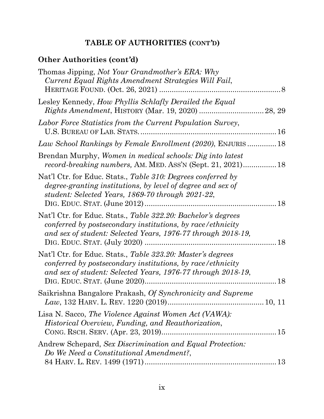# **Other Authorities (cont***'***d)**

| Thomas Jipping, Not Your Grandmother's ERA: Why<br>Current Equal Rights Amendment Strategies Will Fail,                                                                                     |
|---------------------------------------------------------------------------------------------------------------------------------------------------------------------------------------------|
| Lesley Kennedy, How Phyllis Schlafly Derailed the Equal                                                                                                                                     |
| Labor Force Statistics from the Current Population Survey,                                                                                                                                  |
| Law School Rankings by Female Enrollment (2020), ENJURIS 18                                                                                                                                 |
| Brendan Murphy, Women in medical schools: Dig into latest<br>record-breaking numbers, AM. MED. ASS'N (Sept. 21, 2021) 18                                                                    |
| Nat'l Ctr. for Educ. Stats., Table 310: Degrees conferred by<br>degree-granting institutions, by level of degree and sex of<br>student: Selected Years, 1869-70 through 2021-22,            |
| Nat'l Ctr. for Educ. Stats., Table 322.20: Bachelor's degrees<br>conferred by postsecondary institutions, by race/ethnicity<br>and sex of student: Selected Years, 1976-77 through 2018-19, |
| Nat'l Ctr. for Educ. Stats., Table 323.20: Master's degrees<br>conferred by postsecondary institutions, by race/ethnicity<br>and sex of student: Selected Years, 1976-77 through 2018-19,   |
| Saikrishna Bangalore Prakash, Of Synchronicity and Supreme                                                                                                                                  |
| Lisa N. Sacco, The Violence Against Women Act (VAWA):<br><i>Historical Overview, Funding, and Reauthorization,</i>                                                                          |
| Andrew Schepard, Sex Discrimination and Equal Protection:<br>Do We Need a Constitutional Amendment?,                                                                                        |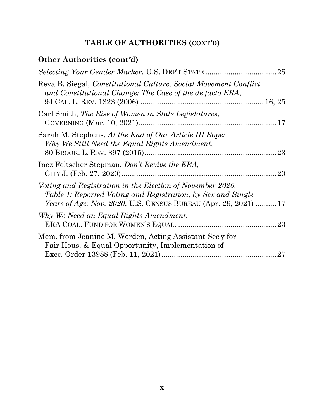# **Other Authorities (cont***'***d)**

| Reva B. Siegal, Constitutional Culture, Social Movement Conflict<br>and Constitutional Change: The Case of the de facto ERA,<br>94 CAL. L. REV. 1323 (2006)                                        |  |
|----------------------------------------------------------------------------------------------------------------------------------------------------------------------------------------------------|--|
| Carl Smith, The Rise of Women in State Legislatures,                                                                                                                                               |  |
| Sarah M. Stephens, At the End of Our Article III Rope:<br>Why We Still Need the Equal Rights Amendment,                                                                                            |  |
| Inez Feltscher Stepman, Don't Revive the ERA,                                                                                                                                                      |  |
| Voting and Registration in the Election of November 2020,<br>Table 1: Reported Voting and Registration, by Sex and Single<br><i>Years of Age: Nov. 2020, U.S. CENSUS BUREAU (Apr. 29, 2021) 17</i> |  |
| Why We Need an Equal Rights Amendment,                                                                                                                                                             |  |
| Mem. from Jeanine M. Worden, Acting Assistant Sec'y for<br>Fair Hous. & Equal Opportunity, Implementation of                                                                                       |  |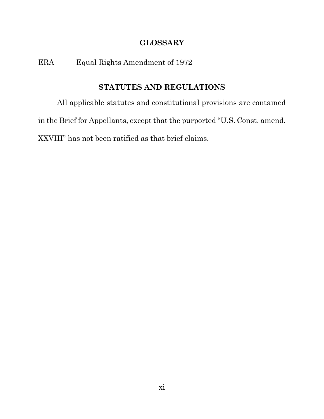## **GLOSSARY**

ERA Equal Rights Amendment of 1972

## **STATUTES AND REGULATIONS**

<span id="page-11-0"></span>All applicable statutes and constitutional provisions are contained in the Brief for Appellants, except that the purported "U.S. Const. amend. XXVIII" has not been ratified as that brief claims.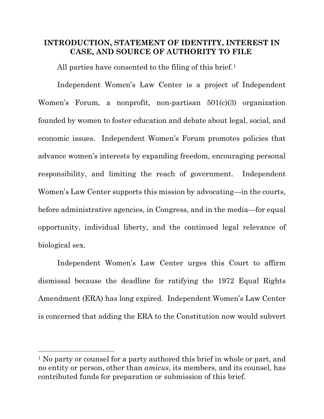### <span id="page-12-0"></span>**INTRODUCTION, STATEMENT OF IDENTITY, INTEREST IN CASE, AND SOURCE OF AUTHORITY TO FILE**

All parties have consented to the filing of this brief.<sup>[1](#page-12-1)</sup>

Independent Women's Law Center is a project of Independent Women's Forum, a nonprofit, non-partisan 501(c)(3) organization founded by women to foster education and debate about legal, social, and economic issues. Independent Women's Forum promotes policies that advance women's interests by expanding freedom, encouraging personal responsibility, and limiting the reach of government. Independent Women's Law Center supports this mission by advocating—in the courts, before administrative agencies, in Congress, and in the media—for equal opportunity, individual liberty, and the continued legal relevance of biological sex.

Independent Women's Law Center urges this Court to affirm dismissal because the deadline for ratifying the 1972 Equal Rights Amendment (ERA) has long expired. Independent Women's Law Center is concerned that adding the ERA to the Constitution now would subvert

<span id="page-12-1"></span><sup>&</sup>lt;sup>1</sup> No party or counsel for a party authored this brief in whole or part, and no entity or person, other than *amicus*, its members, and its counsel, has contributed funds for preparation or submission of this brief.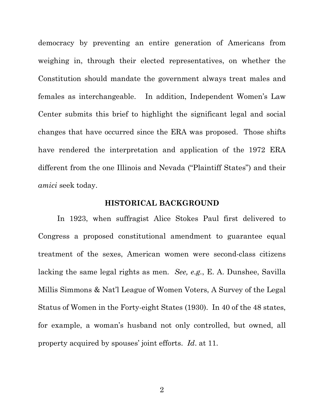democracy by preventing an entire generation of Americans from weighing in, through their elected representatives, on whether the Constitution should mandate the government always treat males and females as interchangeable. In addition, Independent Women's Law Center submits this brief to highlight the significant legal and social changes that have occurred since the ERA was proposed. Those shifts have rendered the interpretation and application of the 1972 ERA different from the one Illinois and Nevada ("Plaintiff States") and their *amici* seek today.

#### **HISTORICAL BACKGROUND**

<span id="page-13-0"></span>In 1923, when suffragist Alice Stokes Paul first delivered to Congress a proposed constitutional amendment to guarantee equal treatment of the sexes, American women were second-class citizens lacking the same legal rights as men. *See, e.g.*, E. A. Dunshee, Savilla Millis Simmons & Nat'l League of Women Voters, A Survey of the Legal Status of Women in the Forty-eight States (1930). In 40 of the 48 states, for example, a woman's husband not only controlled, but owned, all property acquired by spouses' joint efforts. *Id*. at 11.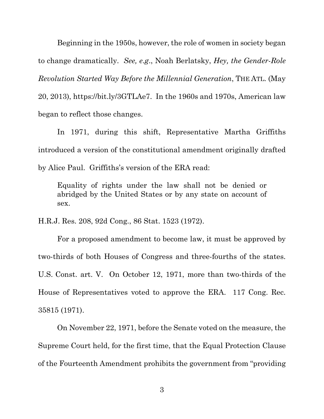Beginning in the 1950s, however, the role of women in society began to change dramatically. *See, e*.*g*., Noah Berlatsky, *Hey, the Gender-Role Revolution Started Way Before the Millennial Generation*, THE ATL. (May 20, 2013), [https://bit.ly/3GTLAe7.](https://bit.ly/3GTLAe7) In the 1960s and 1970s, American law began to reflect those changes.

In 1971, during this shift, Representative Martha Griffiths introduced a version of the constitutional amendment originally drafted by Alice Paul. Griffiths's version of the ERA read:

Equality of rights under the law shall not be denied or abridged by the United States or by any state on account of sex.

H.R.J. Res. 208, 92d Cong., 86 Stat. 1523 (1972).

For a proposed amendment to become law, it must be approved by two-thirds of both Houses of Congress and three-fourths of the states. U.S. Const. art. V. On October 12, 1971, more than two-thirds of the House of Representatives voted to approve the ERA. 117 Cong. Rec. 35815 (1971).

On November 22, 1971, before the Senate voted on the measure, the Supreme Court held, for the first time, that the Equal Protection Clause of the Fourteenth Amendment prohibits the government from "providing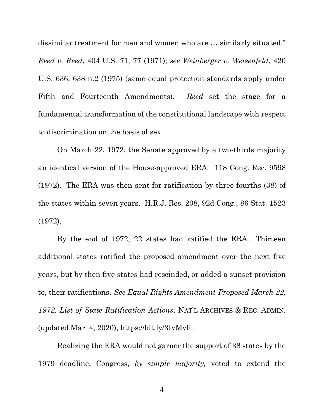dissimilar treatment for men and women who are … similarly situated." *Reed v. Reed*, 404 U.S. 71, 77 (1971); *see Weinberger v. Weisenfeld*, 420 U.S. 636, 638 n.2 (1975) (same equal protection standards apply under Fifth and Fourteenth Amendments). *Reed* set the stage for a fundamental transformation of the constitutional landscape with respect to discrimination on the basis of sex.

On March 22, 1972, the Senate approved by a two-thirds majority an identical version of the House-approved ERA. 118 Cong. Rec. 9598 (1972). The ERA was then sent for ratification by three-fourths (38) of the states within seven years. H.R.J. Res. 208, 92d Cong., 86 Stat. 1523 (1972).

By the end of 1972, 22 states had ratified the ERA. Thirteen additional states ratified the proposed amendment over the next five years, but by then five states had rescinded, or added a sunset provision to, their ratifications. *See Equal Rights Amendment-Proposed March 22, 1972, List of State Ratification Actions*, NAT'L ARCHIVES & REC. ADMIN. (updated Mar. 4, 2020), [https://bit.ly/3IvMvli.](https://bit.ly/3IvMvli)

Realizing the ERA would not garner the support of 38 states by the 1979 deadline, Congress, *by simple majority,* voted to extend the

4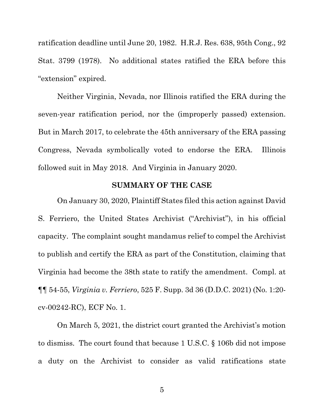ratification deadline until June 20, 1982. H.R.J. Res. 638, 95th Cong., 92 Stat. 3799 (1978). No additional states ratified the ERA before this "extension" expired.

Neither Virginia, Nevada, nor Illinois ratified the ERA during the seven-year ratification period, nor the (improperly passed) extension. But in March 2017, to celebrate the 45th anniversary of the ERA passing Congress, Nevada symbolically voted to endorse the ERA. Illinois followed suit in May 2018. And Virginia in January 2020.

#### **SUMMARY OF THE CASE**

<span id="page-16-0"></span>On January 30, 2020, Plaintiff States filed this action against David S. Ferriero, the United States Archivist ("Archivist"), in his official capacity. The complaint sought mandamus relief to compel the Archivist to publish and certify the ERA as part of the Constitution, claiming that Virginia had become the 38th state to ratify the amendment. Compl. at ¶¶ 54-55, *Virginia v. Ferriero*, 525 F. Supp. 3d 36 (D.D.C. 2021) (No. 1:20 cv-00242-RC), ECF No. 1.

On March 5, 2021, the district court granted the Archivist's motion to dismiss. The court found that because 1 U.S.C. § 106b did not impose a duty on the Archivist to consider as valid ratifications state

5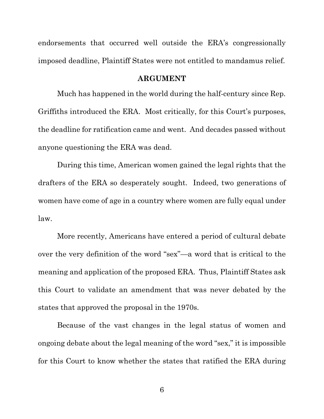endorsements that occurred well outside the ERA's congressionally imposed deadline, Plaintiff States were not entitled to mandamus relief.

#### **ARGUMENT**

<span id="page-17-0"></span>Much has happened in the world during the half-century since Rep. Griffiths introduced the ERA. Most critically, for this Court's purposes, the deadline for ratification came and went. And decades passed without anyone questioning the ERA was dead.

During this time, American women gained the legal rights that the drafters of the ERA so desperately sought. Indeed, two generations of women have come of age in a country where women are fully equal under law.

More recently, Americans have entered a period of cultural debate over the very definition of the word "sex"—a word that is critical to the meaning and application of the proposed ERA. Thus, Plaintiff States ask this Court to validate an amendment that was never debated by the states that approved the proposal in the 1970s.

Because of the vast changes in the legal status of women and ongoing debate about the legal meaning of the word "sex," it is impossible for this Court to know whether the states that ratified the ERA during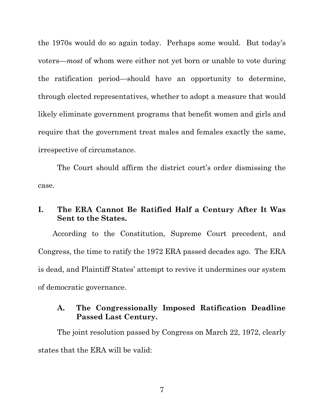the 1970s would do so again today. Perhaps some would. But today's voters—*most* of whom were either not yet born or unable to vote during the ratification period—should have an opportunity to determine, through elected representatives, whether to adopt a measure that would likely eliminate government programs that benefit women and girls and require that the government treat males and females exactly the same, irrespective of circumstance.

The Court should affirm the district court's order dismissing the case.

## <span id="page-18-0"></span>**I. The ERA Cannot Be Ratified Half a Century After It Was Sent to the States.**

According to the Constitution, Supreme Court precedent, and Congress, the time to ratify the 1972 ERA passed decades ago. The ERA is dead, and Plaintiff States' attempt to revive it undermines our system of democratic governance.

#### <span id="page-18-1"></span>**A. The Congressionally Imposed Ratification Deadline Passed Last Century.**

The joint resolution passed by Congress on March 22, 1972, clearly states that the ERA will be valid: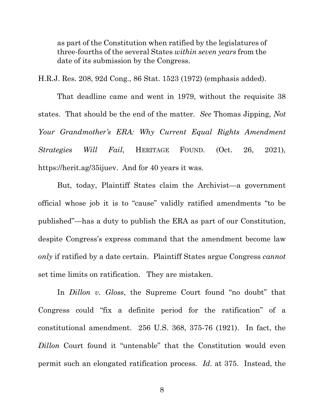as part of the Constitution when ratified by the legislatures of three-fourths of the several States *within seven years* from the date of its submission by the Congress.

H.R.J. Res. 208, 92d Cong., 86 Stat. 1523 (1972) (emphasis added).

That deadline came and went in 1979, without the requisite 38 states. That should be the end of the matter. *See* Thomas Jipping, *Not Your Grandmother's ERA: Why Current Equal Rights Amendment Strategies Will Fail*, HERITAGE FOUND. (Oct. 26, 2021), [https://herit.ag/35ijuev.](https://herit.ag/35ijuev) And for 40 years it was.

But, today, Plaintiff States claim the Archivist—a government official whose job it is to "cause" validly ratified amendments "to be published"—has a duty to publish the ERA as part of our Constitution, despite Congress's express command that the amendment become law *only* if ratified by a date certain. Plaintiff States argue Congress *cannot*  set time limits on ratification. They are mistaken.

In *Dillon v. Gloss*, the Supreme Court found "no doubt" that Congress could "fix a definite period for the ratification" of a constitutional amendment. 256 U.S. 368, 375-76 (1921). In fact, the *Dillon* Court found it "untenable" that the Constitution would even permit such an elongated ratification process. *Id*. at 375. Instead, the

8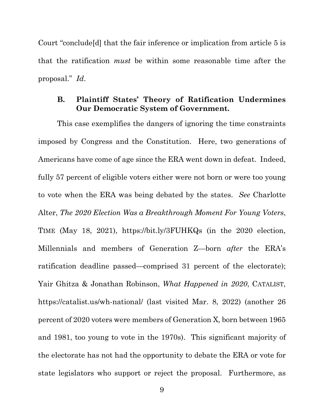Court "conclude[d] that the fair inference or implication from article 5 is that the ratification *must* be within some reasonable time after the proposal." *Id*.

#### <span id="page-20-0"></span>**B. Plaintiff States' Theory of Ratification Undermines Our Democratic System of Government.**

This case exemplifies the dangers of ignoring the time constraints imposed by Congress and the Constitution. Here, two generations of Americans have come of age since the ERA went down in defeat. Indeed, fully 57 percent of eligible voters either were not born or were too young to vote when the ERA was being debated by the states. *See* Charlotte Alter, *The 2020 Election Was a Breakthrough Moment For Young Voters*, TIME (May 18, 2021), <https://bit.ly/3FUHKQs> (in the 2020 election, Millennials and members of Generation Z—born *after* the ERA's ratification deadline passed—comprised 31 percent of the electorate); Yair Ghitza & Jonathan Robinson, *What Happened in 2020*, CATALIST, <https://catalist.us/wh-national/> (last visited Mar. 8, 2022) (another 26 percent of 2020 voters were members of Generation X, born between 1965 and 1981, too young to vote in the 1970s). This significant majority of the electorate has not had the opportunity to debate the ERA or vote for state legislators who support or reject the proposal. Furthermore, as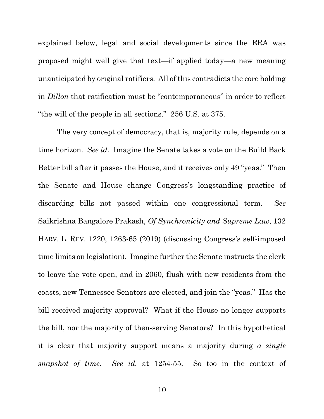explained below, legal and social developments since the ERA was proposed might well give that text—if applied today—a new meaning unanticipated by original ratifiers. All of this contradicts the core holding in *Dillon* that ratification must be "contemporaneous" in order to reflect "the will of the people in all sections." 256 U.S. at 375.

The very concept of democracy, that is, majority rule, depends on a time horizon. *See id.* Imagine the Senate takes a vote on the Build Back Better bill after it passes the House, and it receives only 49 "yeas." Then the Senate and House change Congress's longstanding practice of discarding bills not passed within one congressional term. *See*  Saikrishna Bangalore Prakash, *Of Synchronicity and Supreme Law*, 132 HARV. L. REV. 1220, 1263-65 (2019) (discussing Congress's self-imposed time limits on legislation). Imagine further the Senate instructs the clerk to leave the vote open, and in 2060, flush with new residents from the coasts, new Tennessee Senators are elected, and join the "yeas." Has the bill received majority approval? What if the House no longer supports the bill, nor the majority of then-serving Senators? In this hypothetical it is clear that majority support means a majority during *a single snapshot of time*. *See id.* at 1254-55. So too in the context of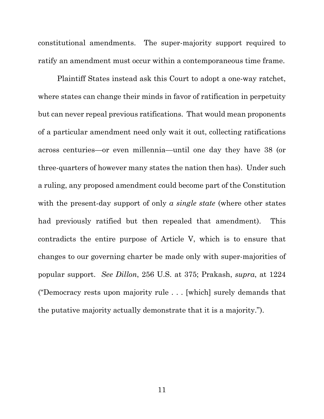constitutional amendments. The super-majority support required to ratify an amendment must occur within a contemporaneous time frame.

Plaintiff States instead ask this Court to adopt a one-way ratchet, where states can change their minds in favor of ratification in perpetuity but can never repeal previous ratifications. That would mean proponents of a particular amendment need only wait it out, collecting ratifications across centuries—or even millennia—until one day they have 38 (or three-quarters of however many states the nation then has). Under such a ruling, any proposed amendment could become part of the Constitution with the present-day support of only *a single state* (where other states had previously ratified but then repealed that amendment). This contradicts the entire purpose of Article V, which is to ensure that changes to our governing charter be made only with super-majorities of popular support. *See Dillon*, 256 U.S. at 375; Prakash, *supra*, at 1224 ("Democracy rests upon majority rule . . . [which] surely demands that the putative majority actually demonstrate that it is a majority.").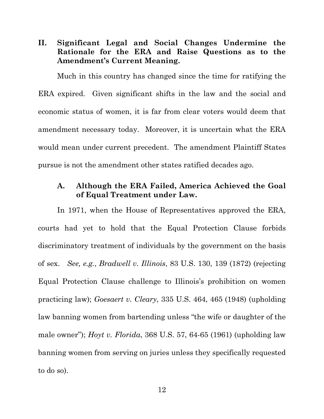<span id="page-23-0"></span>**II. Significant Legal and Social Changes Undermine the Rationale for the ERA and Raise Questions as to the Amendment's Current Meaning.**

Much in this country has changed since the time for ratifying the ERA expired. Given significant shifts in the law and the social and economic status of women, it is far from clear voters would deem that amendment necessary today. Moreover, it is uncertain what the ERA would mean under current precedent. The amendment Plaintiff States pursue is not the amendment other states ratified decades ago.

#### <span id="page-23-1"></span>**A. Although the ERA Failed, America Achieved the Goal of Equal Treatment under Law.**

In 1971, when the House of Representatives approved the ERA, courts had yet to hold that the Equal Protection Clause forbids discriminatory treatment of individuals by the government on the basis of sex. *See, e.g.*, *Bradwell v. Illinois*, 83 U.S. 130, 139 (1872) (rejecting Equal Protection Clause challenge to Illinois's prohibition on women practicing law); *Goesaert v. Cleary*, 335 U.S. 464, 465 (1948) (upholding law banning women from bartending unless "the wife or daughter of the male owner"); *Hoyt v. Florida*, 368 U.S. 57, 64-65 (1961) (upholding law banning women from serving on juries unless they specifically requested to do so).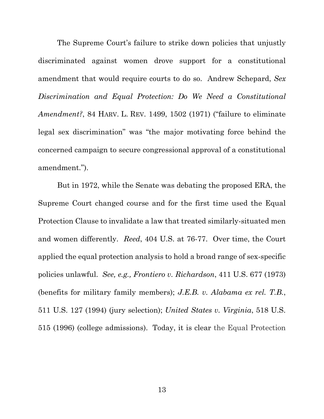The Supreme Court's failure to strike down policies that unjustly discriminated against women drove support for a constitutional amendment that would require courts to do so. Andrew Schepard, *Sex Discrimination and Equal Protection: Do We Need a Constitutional Amendment?*, 84 HARV. L. REV. 1499, 1502 (1971) ("failure to eliminate legal sex discrimination" was "the major motivating force behind the concerned campaign to secure congressional approval of a constitutional amendment.").

But in 1972, while the Senate was debating the proposed ERA, the Supreme Court changed course and for the first time used the Equal Protection Clause to invalidate a law that treated similarly-situated men and women differently. *Reed*, 404 U.S. at 76-77. Over time, the Court applied the equal protection analysis to hold a broad range of sex-specific policies unlawful. *See, e.g., Frontiero v. Richardson*, 411 U.S. 677 (1973) (benefits for military family members); *J.E.B. v. Alabama ex rel. T.B.*, 511 U.S. 127 (1994) (jury selection); *United States v. Virginia*, 518 U.S. 515 (1996) (college admissions). Today, it is clear the Equal Protection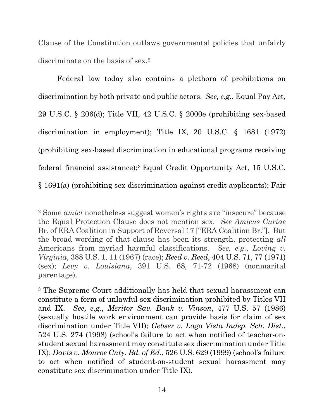Clause of the Constitution outlaws governmental policies that unfairly discriminate on the basis of sex.<sup>2</sup>

Federal law today also contains a plethora of prohibitions on discrimination by both private and public actors. *See, e.g.*, Equal Pay Act, 29 U.S.C. § 206(d); Title VII, 42 U.S.C. § 2000e (prohibiting sex-based discrimination in employment); Title IX, 20 U.S.C. § 1681 (1972) (prohibiting sex-based discrimination in educational programs receiving federal financial assistance);[3](#page-25-1) Equal Credit Opportunity Act, 15 U.S.C. § 1691(a) (prohibiting sex discrimination against credit applicants); Fair

<span id="page-25-0"></span><sup>2</sup> Some *amici* nonetheless suggest women's rights are "insecure" because the Equal Protection Clause does not mention sex. *See Amicus Curiae* Br. of ERA Coalition in Support of Reversal 17 ["ERA Coalition Br."]. But the broad wording of that clause has been its strength, protecting *all*  Americans from myriad harmful classifications. *See, e.g.*, *Loving v. Virginia*, 388 U.S. 1, 11 (1967) (race); *Reed v. Reed*, 404 U.S. 71, 77 (1971) (sex); *Levy v. Louisiana*, 391 U.S. 68, 71-72 (1968) (nonmarital parentage).

<span id="page-25-1"></span><sup>3</sup> The Supreme Court additionally has held that sexual harassment can constitute a form of unlawful sex discrimination prohibited by Titles VII and IX. *See, e.g.*, *Meritor Sav. Bank v. Vinson*, 477 U.S. 57 (1986) (sexually hostile work environment can provide basis for claim of sex discrimination under Title VII); *Gebser v. Lago Vista Indep. Sch. Dist.*, 524 U.S. 274 (1998) (school's failure to act when notified of teacher-onstudent sexual harassment may constitute sex discrimination under Title IX); *Davis v. Monroe Cnty. Bd. of Ed.*, 526 U.S. 629 (1999) (school's failure to act when notified of student-on-student sexual harassment may constitute sex discrimination under Title IX).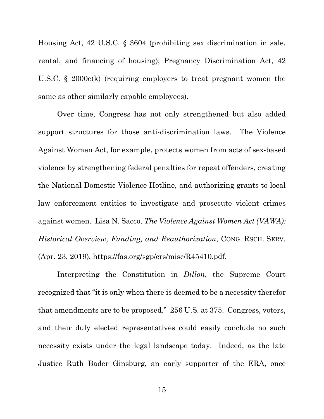Housing Act, 42 U.S.C. § 3604 (prohibiting sex discrimination in sale, rental, and financing of housing); Pregnancy Discrimination Act, 42 U.S.C. § 2000e(k) (requiring employers to treat pregnant women the same as other similarly capable employees).

Over time, Congress has not only strengthened but also added support structures for those anti-discrimination laws. The Violence Against Women Act, for example, protects women from acts of sex-based violence by strengthening federal penalties for repeat offenders, creating the National Domestic Violence Hotline, and authorizing grants to local law enforcement entities to investigate and prosecute violent crimes against women. Lisa N. Sacco, *The Violence Against Women Act (VAWA): Historical Overview, Funding, and Reauthorization*, CONG. RSCH. SERV. (Apr. 23, 2019), [https://fas.org/sgp/crs/misc/R45410.pdf.](https://fas.org/sgp/crs/misc/R45410.pdf)

Interpreting the Constitution in *Dillon*, the Supreme Court recognized that "it is only when there is deemed to be a necessity therefor that amendments are to be proposed." 256 U.S. at 375. Congress, voters, and their duly elected representatives could easily conclude no such necessity exists under the legal landscape today. Indeed, as the late Justice Ruth Bader Ginsburg, an early supporter of the ERA, once

15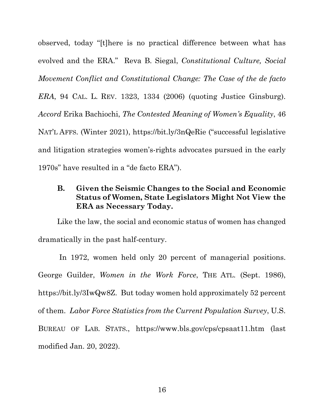observed, today "[t]here is no practical difference between what has evolved and the ERA." Reva B. Siegal, *Constitutional Culture, Social Movement Conflict and Constitutional Change: The Case of the de facto ERA*, 94 CAL. L. REV. 1323, 1334 (2006) (quoting Justice Ginsburg). *Accord* Erika Bachiochi, *The Contested Meaning of Women's Equality*, 46 NAT'L AFFS. (Winter 2021),<https://bit.ly/3nQeRie>("successful legislative and litigation strategies women's-rights advocates pursued in the early 1970s" have resulted in a "de facto ERA").

## <span id="page-27-0"></span>**B. Given the Seismic Changes to the Social and Economic Status of Women, State Legislators Might Not View the ERA as Necessary Today.**

Like the law, the social and economic status of women has changed dramatically in the past half-century.

In 1972, women held only 20 percent of managerial positions. George Guilder, *Women in the Work Force*, THE ATL. (Sept. 1986), [https://bit.ly/3IwQw8Z.](https://bit.ly/3IwQw8Z) But today women hold approximately 52 percent of them. *Labor Force Statistics from the Current Population Survey*, U.S. BUREAU OF LAB. STATS., <https://www.bls.gov/cps/cpsaat11.htm> (last modified Jan. 20, 2022).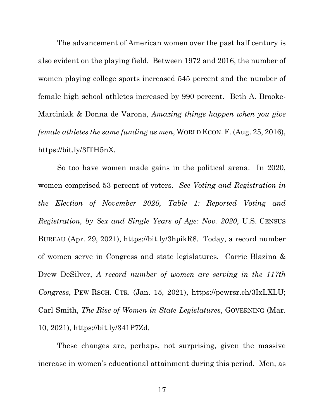The advancement of American women over the past half century is also evident on the playing field. Between 1972 and 2016, the number of women playing college sports increased 545 percent and the number of female high school athletes increased by 990 percent. Beth A. Brooke-Marciniak & Donna de Varona, *Amazing things happen when you give female athletes the same funding as men*, WORLD ECON.F. (Aug. 25, 2016), [https://bit.ly/3fTH5nX.](https://bit.ly/3fTH5nX)

So too have women made gains in the political arena. In 2020, women comprised 53 percent of voters. *See Voting and Registration in the Election of November 2020, Table 1: Reported Voting and Registration, by Sex and Single Years of Age: Nov. 2020*, U.S. CENSUS BUREAU (Apr. 29, 2021), [https://bit.ly/3hpikR8.](https://bit.ly/3hpikR8) Today, a record number of women serve in Congress and state legislatures. Carrie Blazina & Drew DeSilver, *A record number of women are serving in the 117th Congress*, PEW RSCH. CTR. (Jan. 15, 2021), [https://pewrsr.ch/3IxLXLU;](https://bit.ly/3hpikR8) Carl Smith, *The Rise of Women in State Legislatures*, GOVERNING (Mar. 10, 2021), [https://bit.ly/341P7Zd.](https://bit.ly/341P7Zd)

These changes are, perhaps, not surprising, given the massive increase in women's educational attainment during this period. Men, as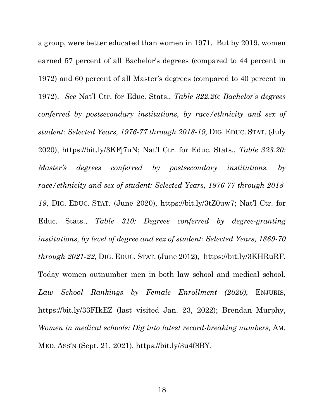a group, were better educated than women in 1971. But by 2019, women earned 57 percent of all Bachelor's degrees (compared to 44 percent in 1972) and 60 percent of all Master's degrees (compared to 40 percent in 1972). *See* Nat'l Ctr. for Educ. Stats., *Table 322.20: Bachelor's degrees conferred by postsecondary institutions, by race/ethnicity and sex of student: Selected Years, 1976-77 through 2018-19,* DIG. EDUC. STAT. (July 2020), [https://bit.ly/3KFj7uN;](https://bit.ly/3KFj7uN) Nat'l Ctr. for Educ. Stats., *Table 323.20: Master's degrees conferred by postsecondary institutions, by race/ethnicity and sex of student: Selected Years, 1976-77 through 2018- 19*, DIG. EDUC. STAT. (June 2020), [https://bit.ly/3tZ0uw7;](https://bit.ly/3tZ0uw7) Nat'l Ctr. for Educ. Stats., *Table 310: Degrees conferred by degree-granting institutions, by level of degree and sex of student: Selected Years, 1869-70 through 2021-22*, DIG. EDUC. STAT. (June 2012), [https://bit.ly/3KHRuRF.](https://bit.ly/3KHRuRF) Today women outnumber men in both law school and medical school. *Law School Rankings by Female Enrollment (2020)*, ENJURIS, <https://bit.ly/33FIkEZ> (last visited Jan. 23, 2022); Brendan Murphy, *Women in medical schools: Dig into latest record-breaking numbers,* AM. MED. ASS'N (Sept. 21, 2021), [https://bit.ly/3u4f8BY.](https://bit.ly/3u4f8BY)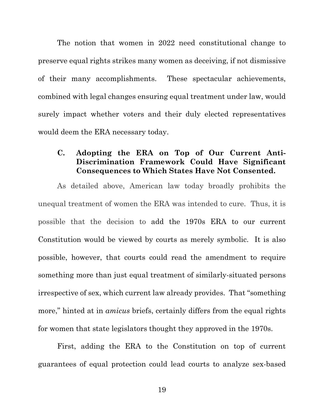The notion that women in 2022 need constitutional change to preserve equal rights strikes many women as deceiving, if not dismissive of their many accomplishments. These spectacular achievements, combined with legal changes ensuring equal treatment under law, would surely impact whether voters and their duly elected representatives would deem the ERA necessary today.

## <span id="page-30-0"></span>**C. Adopting the ERA on Top of Our Current Anti-Discrimination Framework Could Have Significant Consequences to Which States Have Not Consented.**

As detailed above, American law today broadly prohibits the unequal treatment of women the ERA was intended to cure. Thus, it is possible that the decision to add the 1970s ERA to our current Constitution would be viewed by courts as merely symbolic. It is also possible, however, that courts could read the amendment to require something more than just equal treatment of similarly-situated persons irrespective of sex, which current law already provides. That "something more," hinted at in *amicus* briefs, certainly differs from the equal rights for women that state legislators thought they approved in the 1970s.

First, adding the ERA to the Constitution on top of current guarantees of equal protection could lead courts to analyze sex-based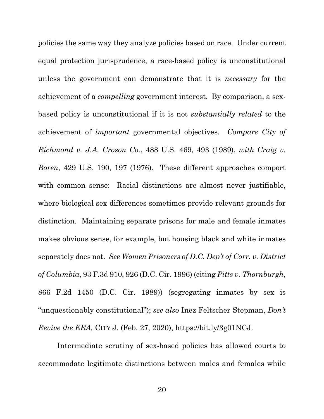policies the same way they analyze policies based on race. Under current equal protection jurisprudence, a race-based policy is unconstitutional unless the government can demonstrate that it is *necessary* for the achievement of a *compelling* government interest. By comparison, a sexbased policy is unconstitutional if it is not *substantially related* to the achievement of *important* governmental objectives. *Compare City of Richmond v. J.A. Croson Co.*, 488 U.S. 469, 493 (1989), *with Craig v. Boren*, 429 U.S. 190, 197 (1976). These different approaches comport with common sense: Racial distinctions are almost never justifiable, where biological sex differences sometimes provide relevant grounds for distinction. Maintaining separate prisons for male and female inmates makes obvious sense, for example, but housing black and white inmates separately does not. *See Women Prisoners of D.C. Dep't of Corr. v. District of Columbia*, 93 F.3d 910, 926 (D.C. Cir. 1996) (citing *Pitts v. Thornburgh*, 866 F.2d 1450 (D.C. Cir. 1989)) (segregating inmates by sex is "unquestionably constitutional"); *see also* Inez Feltscher Stepman, *Don't Revive the ERA,* CITY J. (Feb. 27, 2020), [https://bit.ly/3g01NCJ.](https://bit.ly/3g01NCJ)

Intermediate scrutiny of sex-based policies has allowed courts to accommodate legitimate distinctions between males and females while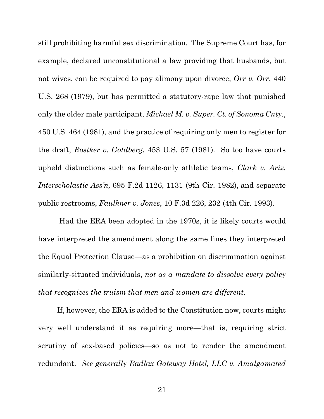still prohibiting harmful sex discrimination. The Supreme Court has, for example, declared unconstitutional a law providing that husbands, but not wives, can be required to pay alimony upon divorce, *Orr v. Orr*, 440 U.S. 268 (1979), but has permitted a statutory-rape law that punished only the older male participant, *Michael M. v. Super. Ct. of Sonoma Cnty.*, 450 U.S. 464 (1981), and the practice of requiring only men to register for the draft, *Rostker v. Goldberg*, 453 U.S. 57 (1981). So too have courts upheld distinctions such as female-only athletic teams, *Clark v. Ariz. Interscholastic Ass'n,* 695 F.2d 1126, 1131 (9th Cir. 1982), and separate public restrooms, *Faulkner v. Jones*, 10 F.3d 226, 232 (4th Cir. 1993).

Had the ERA been adopted in the 1970s, it is likely courts would have interpreted the amendment along the same lines they interpreted the Equal Protection Clause—as a prohibition on discrimination against similarly-situated individuals, *not as a mandate to dissolve every policy that recognizes the truism that men and women are different.* 

If, however, the ERA is added to the Constitution now, courts might very well understand it as requiring more—that is, requiring strict scrutiny of sex-based policies—so as not to render the amendment redundant. *See generally Radlax Gateway Hotel, LLC v. Amalgamated* 

21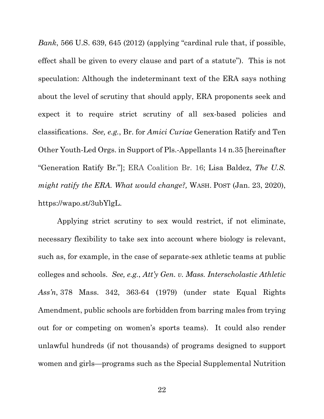*Bank*, 566 U.S. 639, 645 (2012) (applying "cardinal rule that, if possible, effect shall be given to every clause and part of a statute"). This is not speculation: Although the indeterminant text of the ERA says nothing about the level of scrutiny that should apply, ERA proponents seek and expect it to require strict scrutiny of all sex-based policies and classifications. *See, e.g.*, Br. for *Amici Curiae* Generation Ratify and Ten Other Youth-Led Orgs. in Support of Pls.-Appellants 14 n.35 [hereinafter "Generation Ratify Br."]; ERA Coalition Br. 16; Lisa Baldez, *The U.S. might ratify the ERA. What would change?,* WASH. POST (Jan. 23, 2020), [https://wapo.st/3ubYlgL.](https://wapo.st/3ubYlgL)

Applying strict scrutiny to sex would restrict, if not eliminate, necessary flexibility to take sex into account where biology is relevant, such as, for example, in the case of separate-sex athletic teams at public colleges and schools. *See, e.g.*, *Att'y Gen. v. Mass. Interscholastic Athletic Ass'n*, 378 Mass. 342, 363-64 (1979) (under state Equal Rights Amendment, public schools are forbidden from barring males from trying out for or competing on women's sports teams). It could also render unlawful hundreds (if not thousands) of programs designed to support women and girls—programs such as the Special Supplemental Nutrition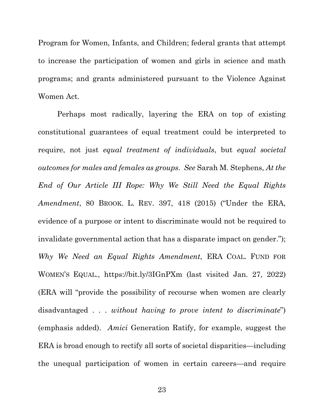Program for Women, Infants, and Children; federal grants that attempt to increase the participation of women and girls in science and math programs; and grants administered pursuant to the Violence Against Women Act.

Perhaps most radically, layering the ERA on top of existing constitutional guarantees of equal treatment could be interpreted to require, not just *equal treatment of individuals*, but *equal societal outcomes for males and females as groups*. *See* Sarah M. Stephens, *At the End of Our Article III Rope: Why We Still Need the Equal Rights Amendment*, 80 BROOK. L. REV. 397, 418 (2015) ("Under the ERA, evidence of a purpose or intent to discriminate would not be required to invalidate governmental action that has a disparate impact on gender."); *Why We Need an Equal Rights Amendment*, ERA COAL. FUND FOR WOMEN'S EQUAL., <https://bit.ly/3IGnPXm> (last visited Jan. 27, 2022) (ERA will "provide the possibility of recourse when women are clearly disadvantaged . . . *without having to prove intent to discriminate*") (emphasis added). *Amici* Generation Ratify, for example, suggest the ERA is broad enough to rectify all sorts of societal disparities—including the unequal participation of women in certain careers—and require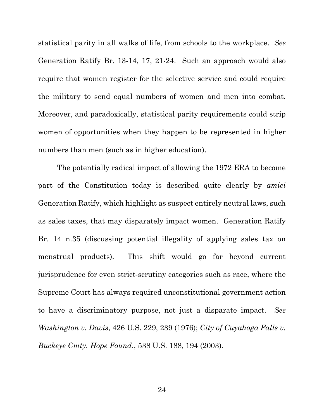statistical parity in all walks of life, from schools to the workplace. *See*  Generation Ratify Br. 13-14, 17, 21-24. Such an approach would also require that women register for the selective service and could require the military to send equal numbers of women and men into combat. Moreover, and paradoxically, statistical parity requirements could strip women of opportunities when they happen to be represented in higher numbers than men (such as in higher education).

The potentially radical impact of allowing the 1972 ERA to become part of the Constitution today is described quite clearly by *amici* Generation Ratify, which highlight as suspect entirely neutral laws, such as sales taxes, that may disparately impact women. Generation Ratify Br. 14 n.35 (discussing potential illegality of applying sales tax on menstrual products). This shift would go far beyond current jurisprudence for even strict-scrutiny categories such as race, where the Supreme Court has always required unconstitutional government action to have a discriminatory purpose, not just a disparate impact. *See Washington v. Davis*, 426 U.S. 229, 239 (1976); *City of Cuyahoga Falls v. Buckeye Cmty. Hope Found.*, 538 U.S. 188, 194 (2003).

24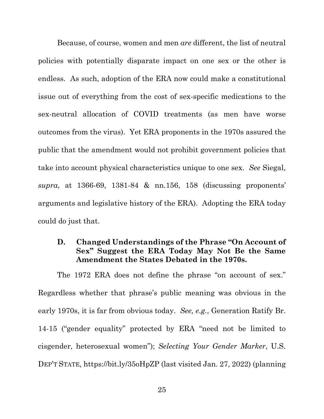Because, of course, women and men *are* different, the list of neutral policies with potentially disparate impact on one sex or the other is endless. As such, adoption of the ERA now could make a constitutional issue out of everything from the cost of sex-specific medications to the sex-neutral allocation of COVID treatments (as men have worse outcomes from the virus). Yet ERA proponents in the 1970s assured the public that the amendment would not prohibit government policies that take into account physical characteristics unique to one sex. *See* Siegal, *supra*, at 1366-69, 1381-84 & nn.156, 158 (discussing proponents' arguments and legislative history of the ERA). Adopting the ERA today could do just that.

### <span id="page-36-0"></span>**D. Changed Understandings of the Phrase "On Account of Sex" Suggest the ERA Today May Not Be the Same Amendment the States Debated in the 1970s.**

The 1972 ERA does not define the phrase "on account of sex." Regardless whether that phrase's public meaning was obvious in the early 1970s, it is far from obvious today. *See, e.g.*, Generation Ratify Br. 14-15 ("gender equality" protected by ERA "need not be limited to cisgender, heterosexual women"); *Selecting Your Gender Marker*, U.S. DEP'T STATE,<https://bit.ly/35oHpZP> (last visited Jan. 27, 2022) (planning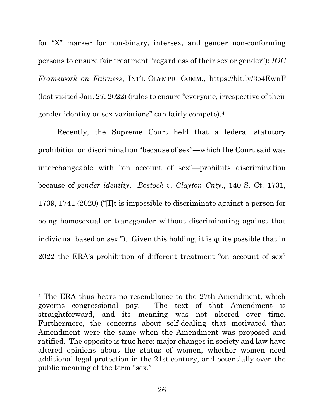for "X" marker for non-binary, intersex, and gender non-conforming persons to ensure fair treatment "regardless of their sex or gender"); *IOC Framework on Fairness*, INT'L OLYMPIC COMM., <https://bit.ly/3o4EwnF> (last visited Jan. 27, 2022) (rules to ensure "everyone, irrespective of their gender identity or sex variations" can fairly compete).[4](#page-37-0)

Recently, the Supreme Court held that a federal statutory prohibition on discrimination "because of sex"—which the Court said was interchangeable with "on account of sex"—prohibits discrimination because of *gender identity*. *Bostock v. Clayton Cnty.*, 140 S. Ct. 1731, 1739, 1741 (2020) ("[I]t is impossible to discriminate against a person for being homosexual or transgender without discriminating against that individual based on sex."). Given this holding, it is quite possible that in 2022 the ERA's prohibition of different treatment "on account of sex"

<span id="page-37-0"></span><sup>4</sup> The ERA thus bears no resemblance to the 27th Amendment, which governs congressional pay. The text of that Amendment is straightforward, and its meaning was not altered over time. Furthermore, the concerns about self-dealing that motivated that Amendment were the same when the Amendment was proposed and ratified. The opposite is true here: major changes in society and law have altered opinions about the status of women, whether women need additional legal protection in the 21st century, and potentially even the public meaning of the term "sex."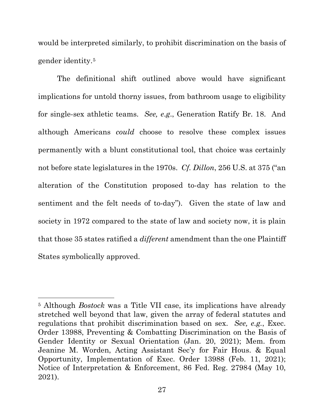would be interpreted similarly, to prohibit discrimination on the basis of gender identity[.5](#page-38-0)

The definitional shift outlined above would have significant implications for untold thorny issues, from bathroom usage to eligibility for single-sex athletic teams. *See, e*.*g*., Generation Ratify Br. 18. And although Americans *could* choose to resolve these complex issues permanently with a blunt constitutional tool, that choice was certainly not before state legislatures in the 1970s. *Cf. Dillon*, 256 U.S. at 375 ("an alteration of the Constitution proposed to-day has relation to the sentiment and the felt needs of to-day"). Given the state of law and society in 1972 compared to the state of law and society now, it is plain that those 35 states ratified a *different* amendment than the one Plaintiff States symbolically approved.

<span id="page-38-0"></span><sup>5</sup> Although *Bostock* was a Title VII case, its implications have already stretched well beyond that law, given the array of federal statutes and regulations that prohibit discrimination based on sex. *See, e.g.*, Exec. Order 13988, Preventing & Combatting Discrimination on the Basis of Gender Identity or Sexual Orientation (Jan. 20, 2021); Mem. from Jeanine M. Worden, Acting Assistant Sec'y for Fair Hous. & Equal Opportunity, Implementation of Exec. Order 13988 (Feb. 11, 2021); Notice of Interpretation & Enforcement, 86 Fed. Reg. 27984 (May 10, 2021).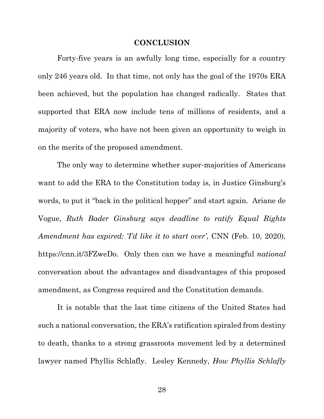#### **CONCLUSION**

<span id="page-39-0"></span>Forty-five years is an awfully long time, especially for a country only 246 years old. In that time, not only has the goal of the 1970s ERA been achieved, but the population has changed radically. States that supported that ERA now include tens of millions of residents, and a majority of voters, who have not been given an opportunity to weigh in on the merits of the proposed amendment.

The only way to determine whether super-majorities of Americans want to add the ERA to the Constitution today is, in Justice Ginsburg's words, to put it "back in the political hopper" and start again. Ariane de Vogue, *Ruth Bader Ginsburg says deadline to ratify Equal Rights Amendment has expired: 'I'd like it to start over'*, CNN (Feb. 10, 2020), [https://cnn.it/3FZweDo.](https://cnn.it/3FZweDo) Only then can we have a meaningful *national* conversation about the advantages and disadvantages of this proposed amendment, as Congress required and the Constitution demands.

It is notable that the last time citizens of the United States had such a national conversation, the ERA's ratification spiraled from destiny to death, thanks to a strong grassroots movement led by a determined lawyer named Phyllis Schlafly. Lesley Kennedy, *How Phyllis Schlafly* 

28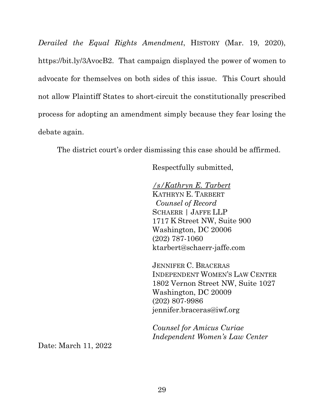*Derailed the Equal Rights Amendment*, HISTORY (Mar. 19, 2020), [https://bit.ly/3AvocB2.](https://bit.ly/3AvocB2) That campaign displayed the power of women to advocate for themselves on both sides of this issue. This Court should not allow Plaintiff States to short-circuit the constitutionally prescribed process for adopting an amendment simply because they fear losing the debate again.

The district court's order dismissing this case should be affirmed.

Respectfully submitted,

*/s/Kathryn E. Tarbert* KATHRYN E. TARBERT *Counsel of Record* SCHAERR | JAFFE LLP 1717 K Street NW, Suite 900 Washington, DC 20006 (202) 787-1060 ktarbert@schaerr-jaffe.com

JENNIFER C. BRACERAS INDEPENDENT WOMEN'S LAW CENTER 1802 Vernon Street NW, Suite 1027 Washington, DC 20009 (202) 807-9986 jennifer.braceras@iwf.org

*Counsel for Amicus Curiae Independent Women's Law Center*

Date: March 11, 2022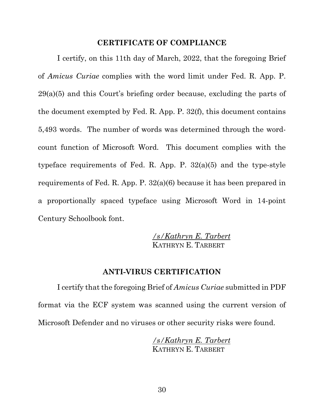#### **CERTIFICATE OF COMPLIANCE**

<span id="page-41-0"></span>I certify, on this 11th day of March, 2022, that the foregoing Brief of *Amicus Curiae* complies with the word limit under Fed. R. App. P. 29(a)(5) and this Court's briefing order because, excluding the parts of the document exempted by Fed. R. App. P. 32(f), this document contains 5,493 words. The number of words was determined through the wordcount function of Microsoft Word. This document complies with the typeface requirements of Fed. R. App. P. 32(a)(5) and the type-style requirements of Fed. R. App. P. 32(a)(6) because it has been prepared in a proportionally spaced typeface using Microsoft Word in 14-point Century Schoolbook font.

> */s/Kathryn E. Tarbert* KATHRYN E. TARBERT

#### **ANTI-VIRUS CERTIFICATION**

<span id="page-41-1"></span>I certify that the foregoing Brief of *Amicus Curiae* submitted in PDF format via the ECF system was scanned using the current version of Microsoft Defender and no viruses or other security risks were found.

> */s/Kathryn E. Tarbert* KATHRYN E. TARBERT